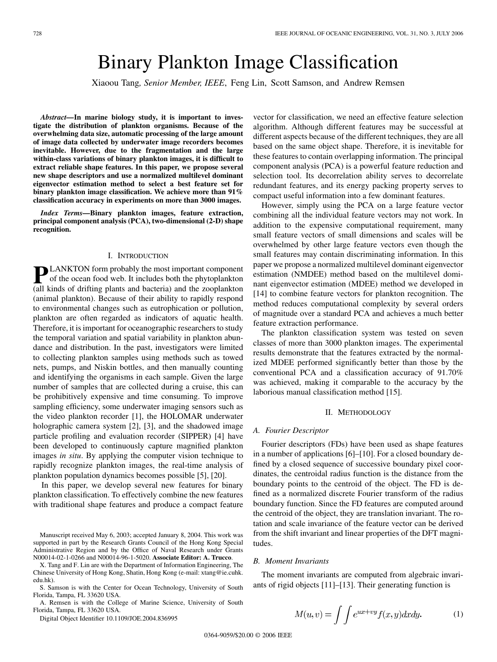# Binary Plankton Image Classification

Xiaoou Tang*, Senior Member, IEEE*, Feng Lin, Scott Samson, and Andrew Remsen

*Abstract—***In marine biology study, it is important to investigate the distribution of plankton organisms. Because of the overwhelming data size, automatic processing of the large amount of image data collected by underwater image recorders becomes inevitable. However, due to the fragmentation and the large within-class variations of binary plankton images, it is difficult to extract reliable shape features. In this paper, we propose several new shape descriptors and use a normalized multilevel dominant eigenvector estimation method to select a best feature set for binary plankton image classification. We achieve more than 91% classification accuracy in experiments on more than 3000 images.**

*Index Terms—***Binary plankton images, feature extraction, principal component analysis (PCA), two-dimensional (2-D) shape recognition.**

#### I. INTRODUCTION

**PLANKTON** form probably the most important component of the ocean food web. It includes both the phytoplankton (all kinds of drifting plants and bacteria) and the zooplankton (animal plankton). Because of their ability to rapidly respond to environmental changes such as eutrophication or pollution, plankton are often regarded as indicators of aquatic health. Therefore, it is important for oceanographic researchers to study the temporal variation and spatial variability in plankton abundance and distribution. In the past, investigators were limited to collecting plankton samples using methods such as towed nets, pumps, and Niskin bottles, and then manually counting and identifying the organisms in each sample. Given the large number of samples that are collected during a cruise, this can be prohibitively expensive and time consuming. To improve sampling efficiency, some underwater imaging sensors such as the video plankton recorder [\[1\]](#page-6-0), the HOLOMAR underwater holographic camera system [\[2\], \[3\],](#page-6-0) and the shadowed image particle profiling and evaluation recorder (SIPPER) [\[4\]](#page-6-0) have been developed to continuously capture magnified plankton images *in situ*. By applying the computer vision technique to rapidly recognize plankton images, the real-time analysis of plankton population dynamics becomes possible [\[5\]](#page-6-0), [\[20\].](#page-6-0)

In this paper, we develop several new features for binary plankton classification. To effectively combine the new features with traditional shape features and produce a compact feature

Manuscript received May 6, 2003; accepted January 8, 2004. This work was supported in part by the Research Grants Council of the Hong Kong Special Administrative Region and by the Office of Naval Research under Grants N00014-02-1-0266 and N00014-96-1-5020. **Associate Editor: A. Trucco**.

X. Tang and F. Lin are with the Department of Information Engineering, The Chinese University of Hong Kong, Shatin, Hong Kong (e-mail: xtang@ie.cuhk. edu.hk).

S. Samson is with the Center for Ocean Technology, University of South Florida, Tampa, FL 33620 USA.

A. Remsen is with the College of Marine Science, University of South Florida, Tampa, FL 33620 USA.

Digital Object Identifier 10.1109/JOE.2004.836995

vector for classification, we need an effective feature selection algorithm. Although different features may be successful at different aspects because of the different techniques, they are all based on the same object shape. Therefore, it is inevitable for these features to contain overlapping information. The principal component analysis (PCA) is a powerful feature reduction and selection tool. Its decorrelation ability serves to decorrelate redundant features, and its energy packing property serves to compact useful information into a few dominant features.

However, simply using the PCA on a large feature vector combining all the individual feature vectors may not work. In addition to the expensive computational requirement, many small feature vectors of small dimensions and scales will be overwhelmed by other large feature vectors even though the small features may contain discriminating information. In this paper we propose a normalized multilevel dominant eigenvector estimation (NMDEE) method based on the multilevel dominant eigenvector estimation (MDEE) method we developed in [\[14\]](#page-6-0) to combine feature vectors for plankton recognition. The method reduces computational complexity by several orders of magnitude over a standard PCA and achieves a much better feature extraction performance.

The plankton classification system was tested on seven classes of more than 3000 plankton images. The experimental results demonstrate that the features extracted by the normalized MDEE performed significantly better than those by the conventional PCA and a classification accuracy of 91.70% was achieved, making it comparable to the accuracy by the laborious manual classification method [\[15\]](#page-6-0).

## II. METHODOLOGY

#### *A. Fourier Descriptor*

Fourier descriptors (FDs) have been used as shape features in a number of applications [\[6\]–\[10\]](#page-6-0). For a closed boundary defined by a closed sequence of successive boundary pixel coordinates, the centroidal radius function is the distance from the boundary points to the centroid of the object. The FD is defined as a normalized discrete Fourier transform of the radius boundary function. Since the FD features are computed around the centroid of the object, they are translation invariant. The rotation and scale invariance of the feature vector can be derived from the shift invariant and linear properties of the DFT magnitudes.

#### *B. Moment Invariants*

The moment invariants are computed from algebraic invariants of rigid objects [\[11\]–\[13\]](#page-6-0). Their generating function is

$$
M(u,v) = \int \int e^{ux+vy} f(x,y) dx dy.
$$
 (1)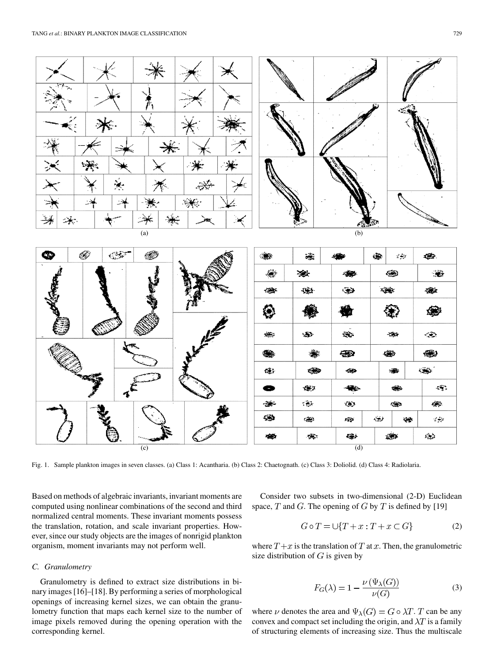<span id="page-1-0"></span>

Fig. 1. Sample plankton images in seven classes. (a) Class 1: Acantharia. (b) Class 2: Chaetognath. (c) Class 3: Doliolid. (d) Class 4: Radiolaria.

Based on methods of algebraic invariants, invariant moments are computed using nonlinear combinations of the second and third normalized central moments. These invariant moments possess the translation, rotation, and scale invariant properties. However, since our study objects are the images of nonrigid plankton organism, moment invariants may not perform well.

# *C. Granulometry*

Granulometry is defined to extract size distributions in binary images [\[16\]–\[18\].](#page-6-0) By performing a series of morphological openings of increasing kernel sizes, we can obtain the granulometry function that maps each kernel size to the number of image pixels removed during the opening operation with the corresponding kernel.

Consider two subsets in two-dimensional (2-D) Euclidean space,  $T$  and  $G$ . The opening of  $G$  by  $T$  is defined by [\[19\]](#page-6-0)

$$
G \circ T = \cup \{T + x : T + x \subset G\} \tag{2}
$$

where  $T + x$  is the translation of T at x. Then, the granulometric size distribution of  $G$  is given by

$$
F_G(\lambda) = 1 - \frac{\nu(\Psi_\lambda(G))}{\nu(G)}\tag{3}
$$

where  $\nu$  denotes the area and  $\Psi_{\lambda}(G) = G \circ \lambda T$ . T can be any convex and compact set including the origin, and  $\lambda T$  is a family of structuring elements of increasing size. Thus the multiscale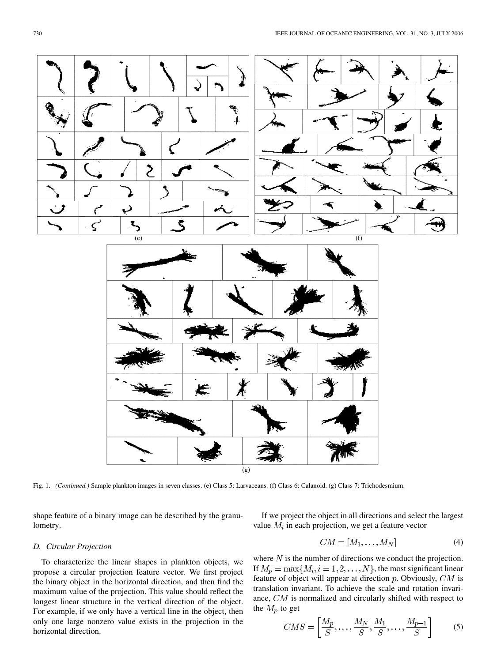

Fig. 1. *(Continued.)* Sample plankton images in seven classes. (e) Class 5: Larvaceans. (f) Class 6: Calanoid. (g) Class 7: Trichodesmium.

shape feature of a binary image can be described by the granulometry.

*D. Circular Projection*

If we project the object in all directions and select the largest value  $M_i$  in each projection, we get a feature vector

$$
CM = [M_1, \dots, M_N]
$$
 (4)

To characterize the linear shapes in plankton objects, we propose a circular projection feature vector. We first project the binary object in the horizontal direction, and then find the maximum value of the projection. This value should reflect the longest linear structure in the vertical direction of the object. For example, if we only have a vertical line in the object, then only one large nonzero value exists in the projection in the horizontal direction.

where  $N$  is the number of directions we conduct the projection. If  $M_p = \max\{M_i, i = 1, 2, ..., N\}$ , the most significant linear feature of object will appear at direction  $p$ . Obviously,  $CM$  is translation invariant. To achieve the scale and rotation invariance,  $CM$  is normalized and circularly shifted with respect to the  $M_p$  to get

$$
CMS = \left[ \frac{M_p}{S}, \dots, \frac{M_N}{S}, \frac{M_1}{S}, \dots, \frac{M_{p-1}}{S} \right]
$$
 (5)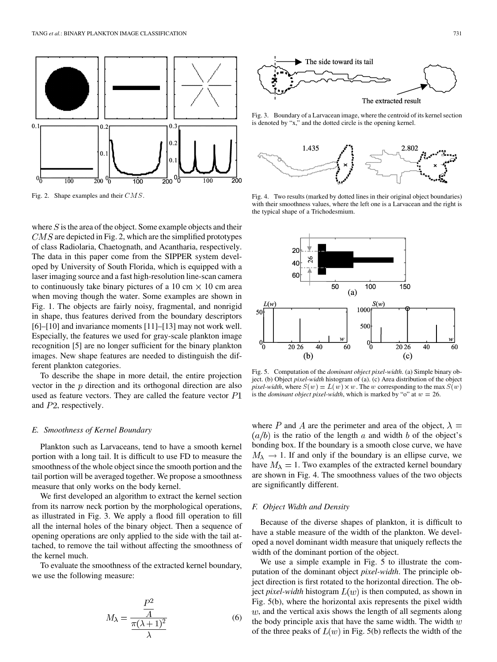<span id="page-3-0"></span>

Fig. 2. Shape examples and their  $CMS$ .

where  $S$  is the area of the object. Some example objects and their  $CMS$  are depicted in Fig. 2, which are the simplified prototypes of class Radiolaria, Chaetognath, and Acantharia, respectively. The data in this paper come from the SIPPER system developed by University of South Florida, which is equipped with a laser imaging source and a fast high-resolution line-scan camera to continuously take binary pictures of a 10 cm  $\times$  10 cm area when moving though the water. Some examples are shown in [Fig. 1.](#page-1-0) The objects are fairly noisy, fragmental, and nonrigid in shape, thus features derived from the boundary descriptors [\[6\]–\[10\]](#page-6-0) and invariance moments [\[11\]–\[13\]](#page-6-0) may not work well. Especially, the features we used for gray-scale plankton image recognition [\[5\]](#page-6-0) are no longer sufficient for the binary plankton images. New shape features are needed to distinguish the different plankton categories.

To describe the shape in more detail, the entire projection vector in the  $p$  direction and its orthogonal direction are also used as feature vectors. They are called the feature vector  $P1$ and  $P2$ , respectively.

#### *E. Smoothness of Kernel Boundary*

Plankton such as Larvaceans, tend to have a smooth kernel portion with a long tail. It is difficult to use FD to measure the smoothness of the whole object since the smooth portion and the tail portion will be averaged together. We propose a smoothness measure that only works on the body kernel.

We first developed an algorithm to extract the kernel section from its narrow neck portion by the morphological operations, as illustrated in Fig. 3. We apply a flood fill operation to fill all the internal holes of the binary object. Then a sequence of opening operations are only applied to the side with the tail attached, to remove the tail without affecting the smoothness of the kernel much.

To evaluate the smoothness of the extracted kernel boundary, we use the following measure:

$$
M_{\lambda} = \frac{\frac{P^2}{A}}{\frac{\pi(\lambda + 1)^2}{\lambda}}\tag{6}
$$



Fig. 3. Boundary of a Larvacean image, where the centroid of its kernel section is denoted by "x," and the dotted circle is the opening kernel.



Fig. 4. Two results (marked by dotted lines in their original object boundaries) with their smoothness values, where the left one is a Larvacean and the right is the typical shape of a Trichodesmium.



Fig. 5. Computation of the *dominant object pixel-width*. (a) Simple binary object. (b) Object *pixel-width* histogram of (a). (c) Area distribution of the object *pixel-width*, where  $S(w) = L(w) \times w$ . The w corresponding to the max  $S(w)$ is the *dominant object pixel-width*, which is marked by "o" at  $w = 26$ .

where P and A are the perimeter and area of the object,  $\lambda =$  $(a/b)$  is the ratio of the length a and width b of the object's bonding box. If the boundary is a smooth close curve, we have  $M_{\lambda} \rightarrow 1$ . If and only if the boundary is an ellipse curve, we have  $M_{\lambda} = 1$ . Two examples of the extracted kernel boundary are shown in Fig. 4. The smoothness values of the two objects are significantly different.

## *F. Object Width and Density*

Because of the diverse shapes of plankton, it is difficult to have a stable measure of the width of the plankton. We developed a novel dominant width measure that uniquely reflects the width of the dominant portion of the object.

We use a simple example in Fig. 5 to illustrate the computation of the dominant object *pixel-width*. The principle object direction is first rotated to the horizontal direction. The object *pixel-width* histogram  $L(w)$  is then computed, as shown in Fig. 5(b), where the horizontal axis represents the pixel width  $w$ , and the vertical axis shows the length of all segments along the body principle axis that have the same width. The width  $w$ of the three peaks of  $L(w)$  in Fig. 5(b) reflects the width of the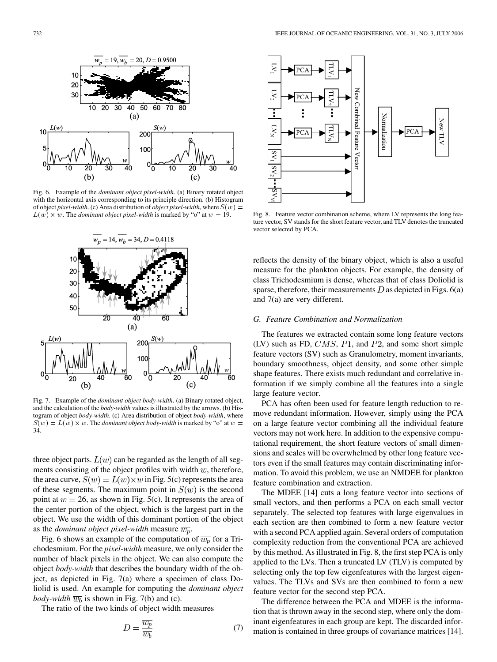

Fig. 6. Example of the *dominant object pixel-width*. (a) Binary rotated object with the horizontal axis corresponding to its principle direction. (b) Histogram of object *pixel-width*. (c) Area distribution of *object pixel-width*, where  $S(w) =$  $L(w) \times w$ . The *dominant object pixel-width* is marked by "o" at  $w = 19$ .



Fig. 7. Example of the *dominant object body-width*. (a) Binary rotated object, and the calculation of the *body-width* values is illustrated by the arrows. (b) Histogram of object *body-width*. (c) Area distribution of object *body-width*, where  $S(w) = L(w) \times w$ . The *dominant object body-width* is marked by "o" at  $w =$ 34.

three object parts.  $L(w)$  can be regarded as the length of all segments consisting of the object profiles with width  $w$ , therefore, the area curve,  $S(w) = L(w) \times w$  in [Fig. 5\(c\)](#page-3-0) represents the area of these segments. The maximum point in  $S(w)$  is the second point at  $w = 26$ , as shown in [Fig. 5\(c\).](#page-3-0) It represents the area of the center portion of the object, which is the largest part in the object. We use the width of this dominant portion of the object as the *dominant object pixel-width* measure  $\overline{w_n}$ .

Fig. 6 shows an example of the computation of  $\overline{w_p}$  for a Trichodesmium. For the *pixel-width* measure, we only consider the number of black pixels in the object. We can also compute the object *body-width* that describes the boundary width of the object, as depicted in Fig. 7(a) where a specimen of class Doliolid is used. An example for computing the *dominant object body-width*  $\overline{w_b}$  is shown in Fig. 7(b) and (c).

The ratio of the two kinds of object width measures

$$
D = \frac{\overline{w_p}}{\overline{w_b}}\tag{7}
$$



Fig. 8. Feature vector combination scheme, where LV represents the long feature vector, SV stands for the short feature vector, and TLV denotes the truncated vector selected by PCA.

reflects the density of the binary object, which is also a useful measure for the plankton objects. For example, the density of class Trichodesmium is dense, whereas that of class Doliolid is sparse, therefore, their measurements  $D$  as depicted in Figs.  $6(a)$ and 7(a) are very different.

### *G. Feature Combination and Normalization*

The features we extracted contain some long feature vectors (LV) such as FD,  $CMS$ ,  $P1$ , and  $P2$ , and some short simple feature vectors (SV) such as Granulometry, moment invariants, boundary smoothness, object density, and some other simple shape features. There exists much redundant and correlative information if we simply combine all the features into a single large feature vector.

PCA has often been used for feature length reduction to remove redundant information. However, simply using the PCA on a large feature vector combining all the individual feature vectors may not work here. In addition to the expensive computational requirement, the short feature vectors of small dimensions and scales will be overwhelmed by other long feature vectors even if the small features may contain discriminating information. To avoid this problem, we use an NMDEE for plankton feature combination and extraction.

The MDEE [\[14\]](#page-6-0) cuts a long feature vector into sections of small vectors, and then performs a PCA on each small vector separately. The selected top features with large eigenvalues in each section are then combined to form a new feature vector with a second PCA applied again. Several orders of computation complexity reduction from the conventional PCA are achieved by this method. As illustrated in Fig. 8, the first step PCA is only applied to the LVs. Then a truncated LV (TLV) is computed by selecting only the top few eigenfeatures with the largest eigenvalues. The TLVs and SVs are then combined to form a new feature vector for the second step PCA.

The difference between the PCA and MDEE is the information that is thrown away in the second step, where only the dominant eigenfeatures in each group are kept. The discarded information is contained in three groups of covariance matrices [\[14\]](#page-6-0).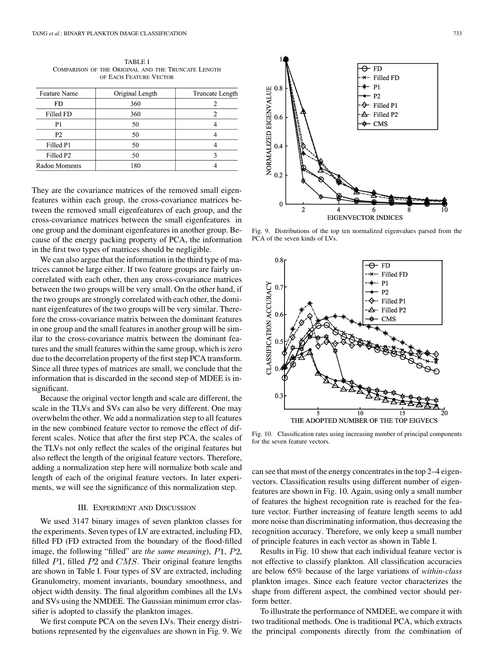| TABLE I                                            |  |  |  |  |  |  |  |
|----------------------------------------------------|--|--|--|--|--|--|--|
| COMPARISON OF THE ORIGINAL AND THE TRUNCATE LENGTH |  |  |  |  |  |  |  |
| OF EACH FEATURE VECTOR                             |  |  |  |  |  |  |  |

| Feature Name          | Original Length | Truncate Length |
|-----------------------|-----------------|-----------------|
| FD                    | 360             |                 |
| Filled FD             | 360             |                 |
| P1                    | 50              |                 |
| P <sub>2</sub>        | 50              |                 |
| Filled P1             | 50              |                 |
| Filled P <sub>2</sub> | 50              |                 |
| Radon Moments         | 180             |                 |

They are the covariance matrices of the removed small eigenfeatures within each group, the cross-covariance matrices between the removed small eigenfeatures of each group, and the cross-covariance matrices between the small eigenfeatures in one group and the dominant eigenfeatures in another group. Because of the energy packing property of PCA, the information in the first two types of matrices should be negligible.

We can also argue that the information in the third type of matrices cannot be large either. If two feature groups are fairly uncorrelated with each other, then any cross-covariance matrices between the two groups will be very small. On the other hand, if the two groups are strongly correlated with each other, the dominant eigenfeatures of the two groups will be very similar. Therefore the cross-covariance matrix between the dominant features in one group and the small features in another group will be similar to the cross-covariance matrix between the dominant features and the small features within the same group, which is zero due to the decorrelation property of the first step PCA transform. Since all three types of matrices are small, we conclude that the information that is discarded in the second step of MDEE is insignificant.

Because the original vector length and scale are different, the scale in the TLVs and SVs can also be very different. One may overwhelm the other. We add a normalization step to all features in the new combined feature vector to remove the effect of different scales. Notice that after the first step PCA, the scales of the TLVs not only reflect the scales of the original features but also reflect the length of the original feature vectors. Therefore, adding a normalization step here will normalize both scale and length of each of the original feature vectors. In later experiments, we will see the significance of this normalization step.

## III. EXPERIMENT AND DISCUSSION

We used 3147 binary images of seven plankton classes for the experiments. Seven types of LV are extracted, including FD, filled FD (FD extracted from the boundary of the flood-filled image, the following "filled" are *the same meaning*),  $P1$ ,  $P2$ , filled  $P1$ , filled  $P2$  and  $CMS$ . Their original feature lengths are shown in Table I. Four types of SV are extracted, including Granulometry, moment invariants, boundary smoothness, and object width density. The final algorithm combines all the LVs and SVs using the NMDEE. The Gaussian minimum error classifier is adopted to classify the plankton images.

We first compute PCA on the seven LVs. Their energy distributions represented by the eigenvalues are shown in Fig. 9. We



Fig. 9. Distributions of the top ten normalized eigenvalues parsed from the PCA of the seven kinds of LVs.



Fig. 10. Classification rates using increasing number of principal components for the seven feature vectors.

can see that most of the energy concentrates in the top 2–4 eigenvectors. Classification results using different number of eigenfeatures are shown in Fig. 10. Again, using only a small number of features the highest recognition rate is reached for the feature vector. Further increasing of feature length seems to add more noise than discriminating information, thus decreasing the recognition accuracy. Therefore, we only keep a small number of principle features in each vector as shown in Table I.

Results in Fig. 10 show that each individual feature vector is not effective to classify plankton. All classification accuracies are below 65% because of the large variations of *within-class* plankton images. Since each feature vector characterizes the shape from different aspect, the combined vector should perform better.

To illustrate the performance of NMDEE, we compare it with two traditional methods. One is traditional PCA, which extracts the principal components directly from the combination of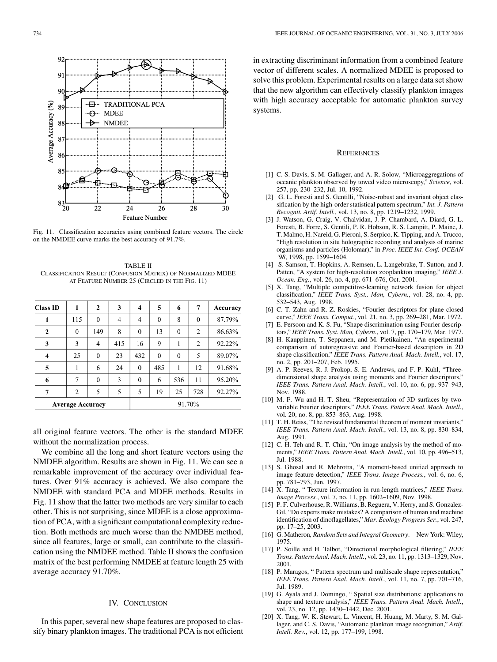<span id="page-6-0"></span>

Fig. 11. Classification accuracies using combined feature vectors. The circle on the NMDEE curve marks the best accuracy of 91.7%.

TABLE II CLASSIFICATION RESULT (CONFUSION MATRIX) OF NORMALIZED MDEE AT FEATURE NUMBER 25 (CIRCLED IN THE FIG. 11)

| <b>Class ID</b>          | 1              | $\mathbf{2}$ | 3      | 4            | 5            | 6        | 7              | Accuracy |
|--------------------------|----------------|--------------|--------|--------------|--------------|----------|----------------|----------|
| 1                        | 115            | $\theta$     | 4      | 4            | $\mathbf{0}$ | 8        | $\Omega$       | 87.79%   |
| $\mathbf{2}$             | $\theta$       | 149          | 8      | $\theta$     | 13           | $\theta$ | $\overline{2}$ | 86.63%   |
| 3                        | 3              | 4            | 415    | 16           | 9            | 1        | $\overline{2}$ | 92.22%   |
| $\overline{\mathcal{A}}$ | 25             | $\theta$     | 23     | 432          | $\theta$     | $\theta$ | 5              | 89.07%   |
| 5                        | 1              | 6            | 24     | $\mathbf{0}$ | 485          | 1        | 12             | 91.68%   |
| 6                        | 7              | $\theta$     | 3      | $\theta$     | 6            | 536      | 11             | 95.20%   |
| 7                        | $\overline{2}$ | 5            | 5      | 5            | 19           | 25       | 728            | 92.27%   |
| <b>Average Accuracy</b>  |                |              | 91.70% |              |              |          |                |          |

all original feature vectors. The other is the standard MDEE without the normalization process.

We combine all the long and short feature vectors using the NMDEE algorithm. Results are shown in Fig. 11. We can see a remarkable improvement of the accuracy over individual features. Over 91% accuracy is achieved. We also compare the NMDEE with standard PCA and MDEE methods. Results in Fig. 11 show that the latter two methods are very similar to each other. This is not surprising, since MDEE is a close approximation of PCA, with a significant computational complexity reduction. Both methods are much worse than the NMDEE method, since all features, large or small, can contribute to the classification using the NMDEE method. Table II shows the confusion matrix of the best performing NMDEE at feature length 25 with average accuracy 91.70%.

# IV. CONCLUSION

In this paper, several new shape features are proposed to classify binary plankton images. The traditional PCA is not efficient in extracting discriminant information from a combined feature vector of different scales. A normalized MDEE is proposed to solve this problem. Experimental results on a large data set show that the new algorithm can effectively classify plankton images with high accuracy acceptable for automatic plankton survey systems.

#### **REFERENCES**

- [1] C. S. Davis, S. M. Gallager, and A. R. Solow, "Microaggregations of oceanic plankton observed by towed video microscopy," *Science*, vol. 257, pp. 230–232, Jul. 10, 1992.
- [2] G. L. Foresti and S. Gentilli, "Noise-robust and invariant object classification by the high-order statistical pattern spectrum," *Int. J. Pattern Recognit. Artif. Intell.*, vol. 13, no. 8, pp. 1219–1232, 1999.
- [3] J. Watson, G. Craig, V. Chalvidan, J. P. Chambard, A. Diard, G. L. Foresti, B. Forre, S. Gentili, P. R. Hobson, R. S. Lampitt, P. Maine, J. T. Malmo, H. Nareid, G. Pieroni, S. Serpico, K. Tipping, and A. Trucco, "High resolution in situ holographic recording and analysis of marine organisms and particles (Holomar)," in *Proc. IEEE Int. Conf. OCEAN '98*, 1998, pp. 1599–1604.
- [4] S. Samson, T. Hopkins, A. Remsen, L. Langebrake, T. Sutton, and J. Patten, "A system for high-resolution zooplankton imaging," *IEEE J. Ocean. Eng.*, vol. 26, no. 4, pp. 671–676, Oct. 2001.
- [5] X. Tang, "Multiple competitive-learning network fusion for object classification," *IEEE Trans. Syst., Man, Cybern.*, vol. 28, no. 4, pp. 532–543, Aug. 1998.
- [6] C. T. Zahn and R. Z. Roskies, "Fourier descriptors for plane closed curve," *IEEE Trans. Comput.*, vol. 21, no. 3, pp. 269–281, Mar. 1972.
- [7] E. Persoon and K. S. Fu, "Shape discrimination using Fourier descriptors," *IEEE Trans. Syst. Man, Cybern.*, vol. 7, pp. 170–179, Mar. 1977.
- [8] H. Kauppinen, T. Seppanen, and M. Pietikainen, "An experimental comparison of autoregressive and Fourier-based descriptors in 2D shape classification," *IEEE Trans. Pattern Anal. Mach. Intell.*, vol. 17, no. 2, pp. 201–207, Feb. 1995.
- [9] A. P. Reeves, R. J. Prokop, S. E. Andrews, and F. P. Kuhl, "Threedimensional shape analysis using moments and Fourier descriptors," *IEEE Trans. Pattern Anal. Mach. Intell.*, vol. 10, no. 6, pp. 937–943, Nov. 1988.
- [10] M. F. Wu and H. T. Sheu, "Representation of 3D surfaces by twovariable Fourier descriptors," *IEEE Trans. Pattern Anal. Mach. Intell.*, vol. 20, no. 8, pp. 853–863, Aug. 1998.
- [11] T. H. Reiss, "The revised fundamental theorem of moment invariants," *IEEE Trans. Pattern Anal. Mach. Intell.*, vol. 13, no. 8, pp. 830–834, Aug. 1991.
- [12] C. H. Teh and R. T. Chin, "On image analysis by the method of moments," *IEEE Trans. Pattern Anal. Mach. Intell.*, vol. 10, pp. 496–513, Jul. 1988.
- [13] S. Ghosal and R. Mehrotra, "A moment-based unified approach to image feature detection," *IEEE Trans. Image Process.*, vol. 6, no. 6, pp. 781–793, Jun. 1997.
- [14] X. Tang, " Texture information in run-length matrices," *IEEE Trans. Image Process.*, vol. 7, no. 11, pp. 1602–1609, Nov. 1998.
- [15] P. F. Culverhouse, R. Williams, B. Reguera, V. Herry, and S. Gonzalez-Gil, "Do experts make mistakes? A comparison of human and machine identification of dinoflagellates," *Mar. Ecology Progress Ser.*, vol. 247, pp. 17–25, 2003.
- [16] G. Matheron*, Random Sets and Integral Geometry*. New York: Wiley, 1975.
- [17] P. Soille and H. Talbot, "Directional morphological filtering," *IEEE Trans. Pattern Anal. Mach. Intell.*, vol. 23, no. 11, pp. 1313–1329, Nov. 2001.
- [18] P. Maragos, " Pattern spectrum and multiscale shape representation," *IEEE Trans. Pattern Anal. Mach. Intell.*, vol. 11, no. 7, pp. 701–716, Jul. 1989.
- [19] G. Ayala and J. Domingo, " Spatial size distributions: applications to shape and texture analysis," *IEEE Trans. Pattern Anal. Mach. Intell.*, vol. 23, no. 12, pp. 1430–1442, Dec. 2001.
- [20] X. Tang, W. K. Stewart, L. Vincent, H. Huang, M. Marty, S. M. Gallager, and C. S. Davis, "Automatic plankton image recognition," *Artif. Intell. Rev.*, vol. 12, pp. 177–199, 1998.